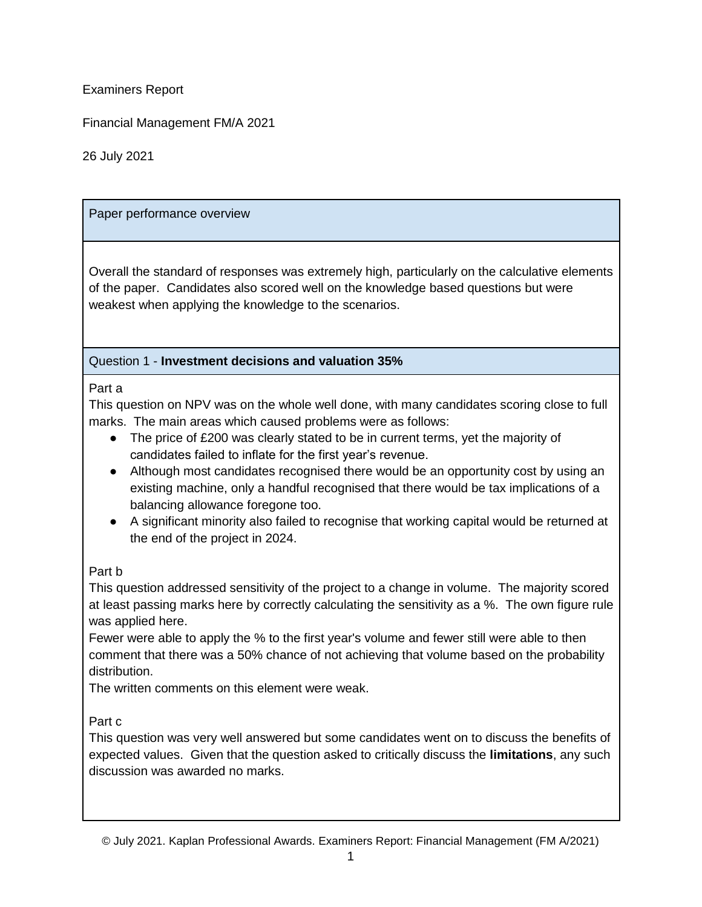Examiners Report

Financial Management FM/A 2021

26 July 2021

### Paper performance overview

Overall the standard of responses was extremely high, particularly on the calculative elements of the paper. Candidates also scored well on the knowledge based questions but were weakest when applying the knowledge to the scenarios.

### Question 1 - **Investment decisions and valuation 35%**

### Part a

This question on NPV was on the whole well done, with many candidates scoring close to full marks. The main areas which caused problems were as follows:

- The price of £200 was clearly stated to be in current terms, yet the majority of candidates failed to inflate for the first year's revenue.
- Although most candidates recognised there would be an opportunity cost by using an existing machine, only a handful recognised that there would be tax implications of a balancing allowance foregone too.
- A significant minority also failed to recognise that working capital would be returned at the end of the project in 2024.

## Part b

This question addressed sensitivity of the project to a change in volume. The majority scored at least passing marks here by correctly calculating the sensitivity as a %. The own figure rule was applied here.

Fewer were able to apply the % to the first year's volume and fewer still were able to then comment that there was a 50% chance of not achieving that volume based on the probability distribution.

The written comments on this element were weak.

## Part c

This question was very well answered but some candidates went on to discuss the benefits of expected values. Given that the question asked to critically discuss the **limitations**, any such discussion was awarded no marks.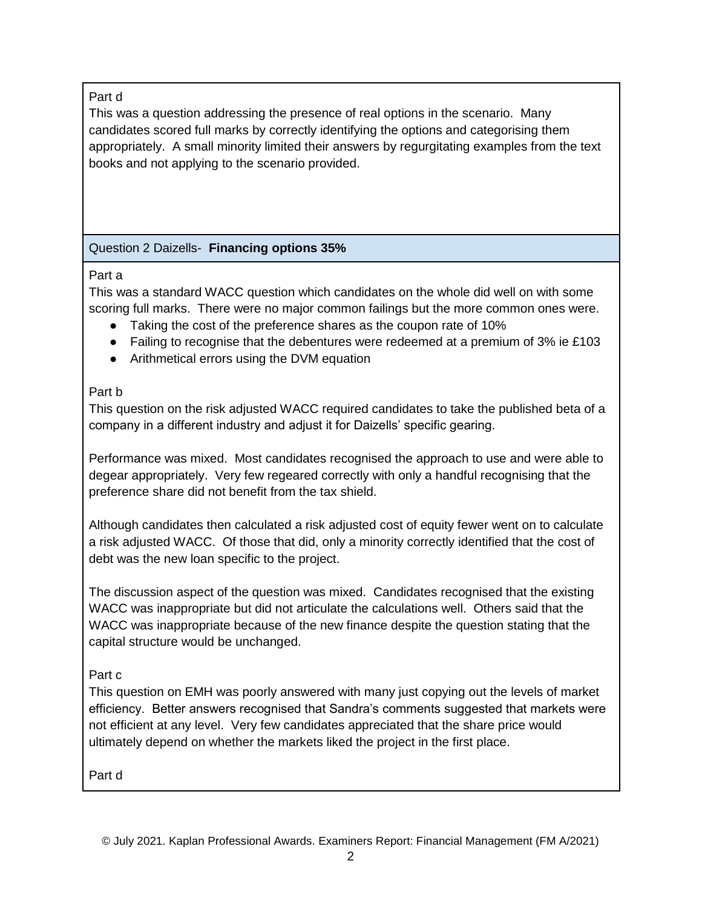## Part d

This was a question addressing the presence of real options in the scenario. Many candidates scored full marks by correctly identifying the options and categorising them appropriately. A small minority limited their answers by regurgitating examples from the text books and not applying to the scenario provided.

# Question 2 Daizells- **Financing options 35%**

## Part a

This was a standard WACC question which candidates on the whole did well on with some scoring full marks. There were no major common failings but the more common ones were.

- Taking the cost of the preference shares as the coupon rate of 10%
- Failing to recognise that the debentures were redeemed at a premium of  $3\%$  ie £103
- Arithmetical errors using the DVM equation

# Part b

This question on the risk adjusted WACC required candidates to take the published beta of a company in a different industry and adjust it for Daizells' specific gearing.

Performance was mixed. Most candidates recognised the approach to use and were able to degear appropriately. Very few regeared correctly with only a handful recognising that the preference share did not benefit from the tax shield.

Although candidates then calculated a risk adjusted cost of equity fewer went on to calculate a risk adjusted WACC. Of those that did, only a minority correctly identified that the cost of debt was the new loan specific to the project.

The discussion aspect of the question was mixed. Candidates recognised that the existing WACC was inappropriate but did not articulate the calculations well. Others said that the WACC was inappropriate because of the new finance despite the question stating that the capital structure would be unchanged.

# Part c

This question on EMH was poorly answered with many just copying out the levels of market efficiency. Better answers recognised that Sandra's comments suggested that markets were not efficient at any level. Very few candidates appreciated that the share price would ultimately depend on whether the markets liked the project in the first place.

Part d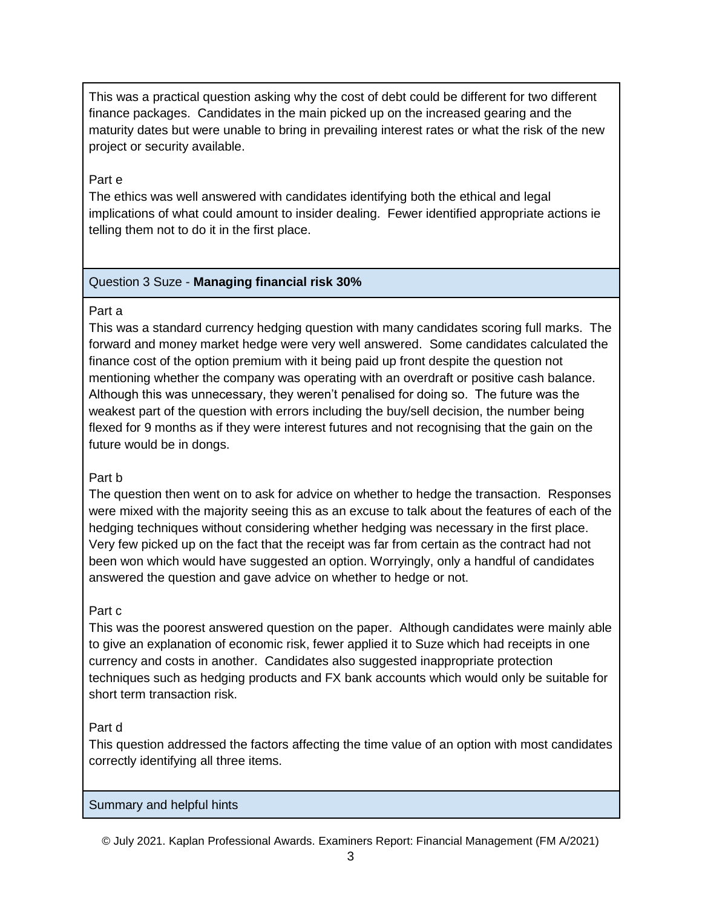This was a practical question asking why the cost of debt could be different for two different finance packages. Candidates in the main picked up on the increased gearing and the maturity dates but were unable to bring in prevailing interest rates or what the risk of the new project or security available.

#### Part e

The ethics was well answered with candidates identifying both the ethical and legal implications of what could amount to insider dealing. Fewer identified appropriate actions ie telling them not to do it in the first place.

### Question 3 Suze - **Managing financial risk 30%**

### Part a

This was a standard currency hedging question with many candidates scoring full marks. The forward and money market hedge were very well answered. Some candidates calculated the finance cost of the option premium with it being paid up front despite the question not mentioning whether the company was operating with an overdraft or positive cash balance. Although this was unnecessary, they weren't penalised for doing so. The future was the weakest part of the question with errors including the buy/sell decision, the number being flexed for 9 months as if they were interest futures and not recognising that the gain on the future would be in dongs.

### Part b

The question then went on to ask for advice on whether to hedge the transaction. Responses were mixed with the majority seeing this as an excuse to talk about the features of each of the hedging techniques without considering whether hedging was necessary in the first place. Very few picked up on the fact that the receipt was far from certain as the contract had not been won which would have suggested an option. Worryingly, only a handful of candidates answered the question and gave advice on whether to hedge or not.

### Part c

This was the poorest answered question on the paper. Although candidates were mainly able to give an explanation of economic risk, fewer applied it to Suze which had receipts in one currency and costs in another. Candidates also suggested inappropriate protection techniques such as hedging products and FX bank accounts which would only be suitable for short term transaction risk.

### Part d

This question addressed the factors affecting the time value of an option with most candidates correctly identifying all three items.

### Summary and helpful hints